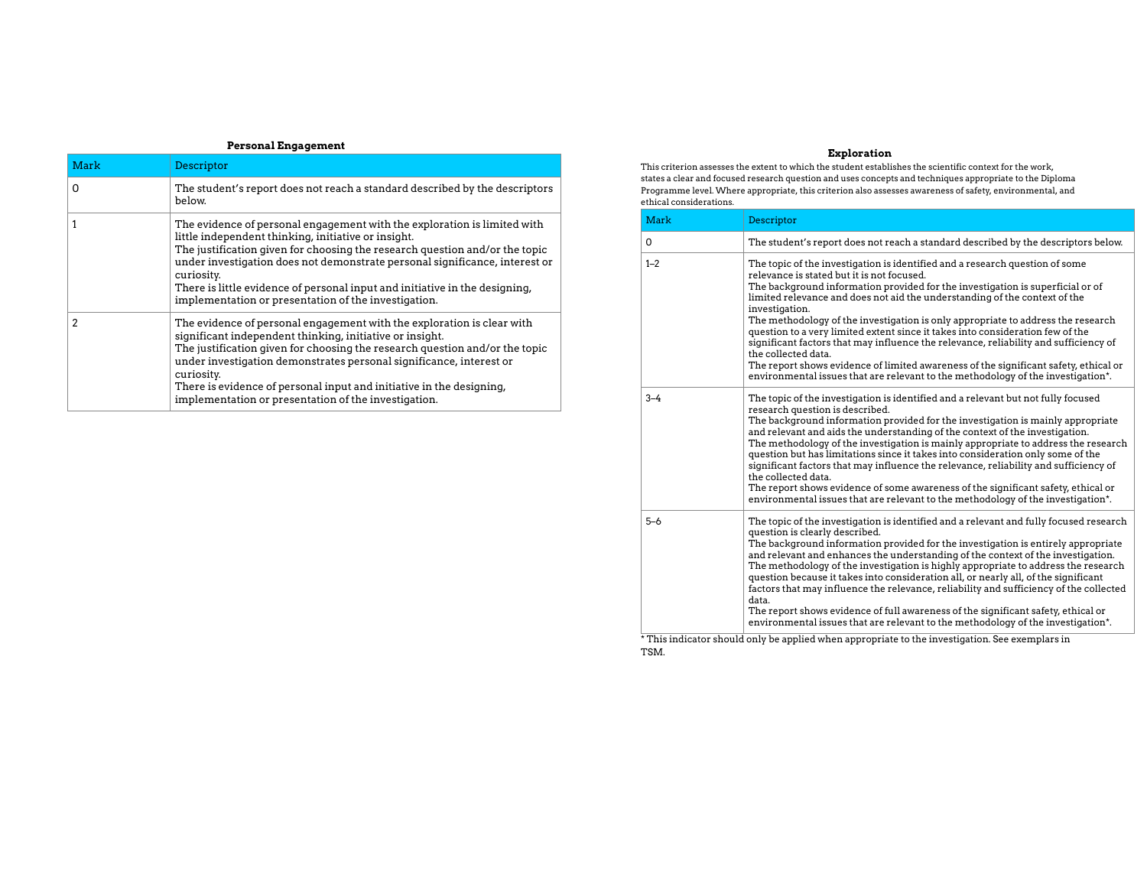#### **Personal Engagement**

| Mark | Descriptor                                                                                                                                                                                                                                                                                                                                                                                                                                         |
|------|----------------------------------------------------------------------------------------------------------------------------------------------------------------------------------------------------------------------------------------------------------------------------------------------------------------------------------------------------------------------------------------------------------------------------------------------------|
| 0    | The student's report does not reach a standard described by the descriptors<br>below.                                                                                                                                                                                                                                                                                                                                                              |
|      | The evidence of personal engagement with the exploration is limited with<br>little independent thinking, initiative or insight.<br>The justification given for choosing the research question and/or the topic<br>under investigation does not demonstrate personal significance, interest or<br>curiosity.<br>There is little evidence of personal input and initiative in the designing,<br>implementation or presentation of the investigation. |
| 2    | The evidence of personal engagement with the exploration is clear with<br>significant independent thinking, initiative or insight.<br>The justification given for choosing the research question and/or the topic<br>under investigation demonstrates personal significance, interest or<br>curiosity.<br>There is evidence of personal input and initiative in the designing,<br>implementation or presentation of the investigation.             |

## **Exploration**

This criterion assesses the extent to which the student establishes the scientific context for the work, states a clear and focused research question and uses concepts and techniques appropriate to the Diploma Programme level. Where appropriate, this criterion also assesses awareness of safety, environmental, and ethical considerations.

| Mark    | Descriptor                                                                                                                                                                                                                                                                                                                                                                                                                                                                                                                                                                                                                                                                                                                                                                    |
|---------|-------------------------------------------------------------------------------------------------------------------------------------------------------------------------------------------------------------------------------------------------------------------------------------------------------------------------------------------------------------------------------------------------------------------------------------------------------------------------------------------------------------------------------------------------------------------------------------------------------------------------------------------------------------------------------------------------------------------------------------------------------------------------------|
| 0       | The student's report does not reach a standard described by the descriptors below.                                                                                                                                                                                                                                                                                                                                                                                                                                                                                                                                                                                                                                                                                            |
| $1 - 2$ | The topic of the investigation is identified and a research question of some<br>relevance is stated but it is not focused.<br>The background information provided for the investigation is superficial or of<br>limited relevance and does not aid the understanding of the context of the<br>investigation.<br>The methodology of the investigation is only appropriate to address the research<br>question to a very limited extent since it takes into consideration few of the<br>significant factors that may influence the relevance, reliability and sufficiency of<br>the collected data.<br>The report shows evidence of limited awareness of the significant safety, ethical or<br>environmental issues that are relevant to the methodology of the investigation*. |
| $3 - 4$ | The topic of the investigation is identified and a relevant but not fully focused<br>research question is described.<br>The background information provided for the investigation is mainly appropriate<br>and relevant and aids the understanding of the context of the investigation.<br>The methodology of the investigation is mainly appropriate to address the research<br>question but has limitations since it takes into consideration only some of the<br>significant factors that may influence the relevance, reliability and sufficiency of<br>the collected data.<br>The report shows evidence of some awareness of the significant safety, ethical or<br>environmental issues that are relevant to the methodology of the investigation*.                      |
| $5 - 6$ | The topic of the investigation is identified and a relevant and fully focused research<br>question is clearly described.<br>The background information provided for the investigation is entirely appropriate<br>and relevant and enhances the understanding of the context of the investigation.<br>The methodology of the investigation is highly appropriate to address the research<br>question because it takes into consideration all, or nearly all, of the significant<br>factors that may influence the relevance, reliability and sufficiency of the collected<br>data.<br>The report shows evidence of full awareness of the significant safety, ethical or<br>environmental issues that are relevant to the methodology of the investigation*.                    |

\* This indicator should only be applied when appropriate to the investigation. See exemplars in TSM.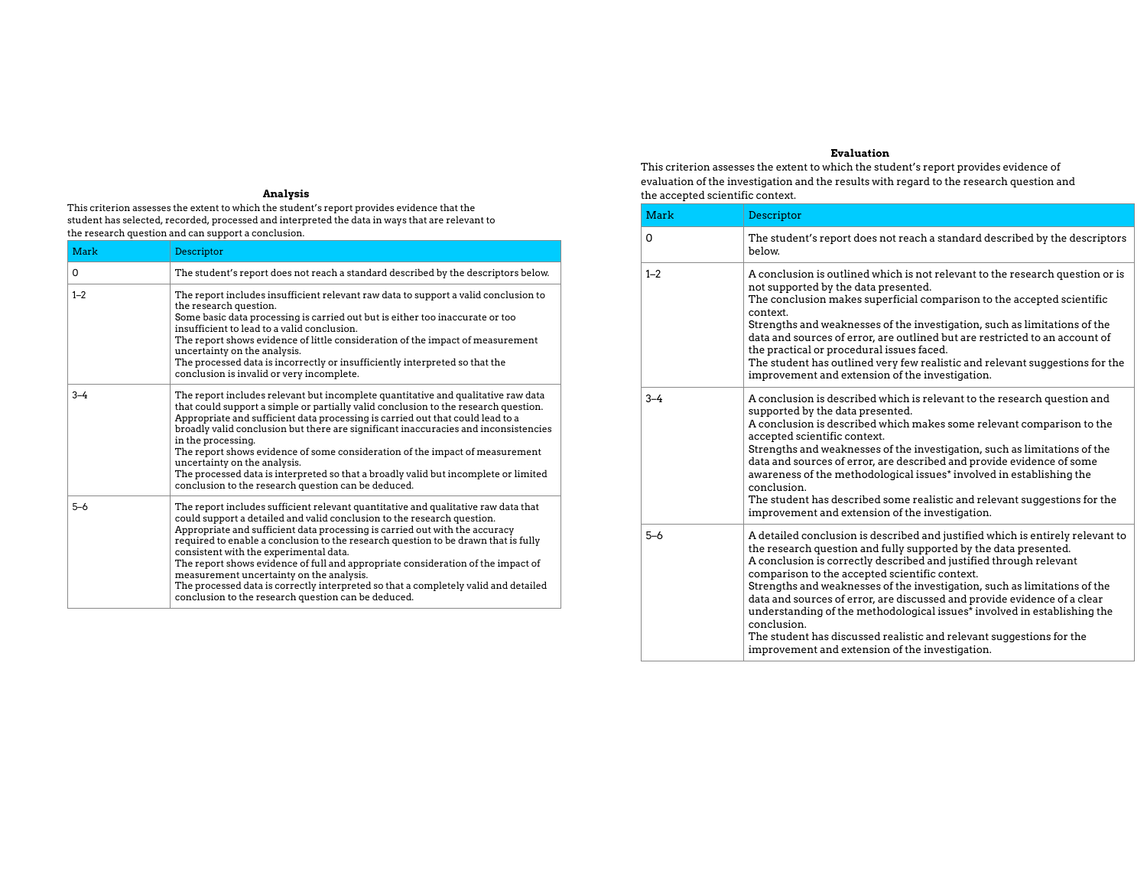## **Analysis**

This criterion assesses the extent to which the student's report provides evidence that the student has selected, recorded, processed and interpreted the data in ways that are relevant to the research question and can support a conclusion.

| Mark    | Descriptor                                                                                                                                                                                                                                                                                                                                                                                                                                                                                                                                                                                                                                                 |
|---------|------------------------------------------------------------------------------------------------------------------------------------------------------------------------------------------------------------------------------------------------------------------------------------------------------------------------------------------------------------------------------------------------------------------------------------------------------------------------------------------------------------------------------------------------------------------------------------------------------------------------------------------------------------|
| 0       | The student's report does not reach a standard described by the descriptors below.                                                                                                                                                                                                                                                                                                                                                                                                                                                                                                                                                                         |
| $1 - 2$ | The report includes insufficient relevant raw data to support a valid conclusion to<br>the research question.<br>Some basic data processing is carried out but is either too inaccurate or too<br>insufficient to lead to a valid conclusion.<br>The report shows evidence of little consideration of the impact of measurement<br>uncertainty on the analysis.<br>The processed data is incorrectly or insufficiently interpreted so that the<br>conclusion is invalid or very incomplete.                                                                                                                                                                |
| $3 - 4$ | The report includes relevant but incomplete quantitative and qualitative raw data<br>that could support a simple or partially valid conclusion to the research question.<br>Appropriate and sufficient data processing is carried out that could lead to a<br>broadly valid conclusion but there are significant inaccuracies and inconsistencies<br>in the processing.<br>The report shows evidence of some consideration of the impact of measurement<br>uncertainty on the analysis.<br>The processed data is interpreted so that a broadly valid but incomplete or limited<br>conclusion to the research question can be deduced.                      |
| $5 - 6$ | The report includes sufficient relevant quantitative and qualitative raw data that<br>could support a detailed and valid conclusion to the research question.<br>Appropriate and sufficient data processing is carried out with the accuracy<br>required to enable a conclusion to the research question to be drawn that is fully<br>consistent with the experimental data.<br>The report shows evidence of full and appropriate consideration of the impact of<br>measurement uncertainty on the analysis.<br>The processed data is correctly interpreted so that a completely valid and detailed<br>conclusion to the research question can be deduced. |

# **Evaluation**

This criterion assesses the extent to which the student's report provides evidence of evaluation of the investigation and the results with regard to the research question and the accepted scientific context.

| Mark    | <b>Descriptor</b>                                                                                                                                                                                                                                                                                                                                                                                                                                                                                                                                                                                                                                         |
|---------|-----------------------------------------------------------------------------------------------------------------------------------------------------------------------------------------------------------------------------------------------------------------------------------------------------------------------------------------------------------------------------------------------------------------------------------------------------------------------------------------------------------------------------------------------------------------------------------------------------------------------------------------------------------|
| 0       | The student's report does not reach a standard described by the descriptors<br>below.                                                                                                                                                                                                                                                                                                                                                                                                                                                                                                                                                                     |
| $1 - 2$ | A conclusion is outlined which is not relevant to the research question or is<br>not supported by the data presented.<br>The conclusion makes superficial comparison to the accepted scientific<br>context.<br>Strengths and weaknesses of the investigation, such as limitations of the<br>data and sources of error, are outlined but are restricted to an account of<br>the practical or procedural issues faced.<br>The student has outlined very few realistic and relevant suggestions for the<br>improvement and extension of the investigation.                                                                                                   |
| $3 - 4$ | A conclusion is described which is relevant to the research question and<br>supported by the data presented.<br>A conclusion is described which makes some relevant comparison to the<br>accepted scientific context.<br>Strengths and weaknesses of the investigation, such as limitations of the<br>data and sources of error, are described and provide evidence of some<br>awareness of the methodological issues <sup>*</sup> involved in establishing the<br>conclusion.<br>The student has described some realistic and relevant suggestions for the<br>improvement and extension of the investigation.                                            |
| $5 - 6$ | A detailed conclusion is described and justified which is entirely relevant to<br>the research question and fully supported by the data presented.<br>A conclusion is correctly described and justified through relevant<br>comparison to the accepted scientific context.<br>Strengths and weaknesses of the investigation, such as limitations of the<br>data and sources of error, are discussed and provide evidence of a clear<br>understanding of the methodological issues* involved in establishing the<br>conclusion.<br>The student has discussed realistic and relevant suggestions for the<br>improvement and extension of the investigation. |